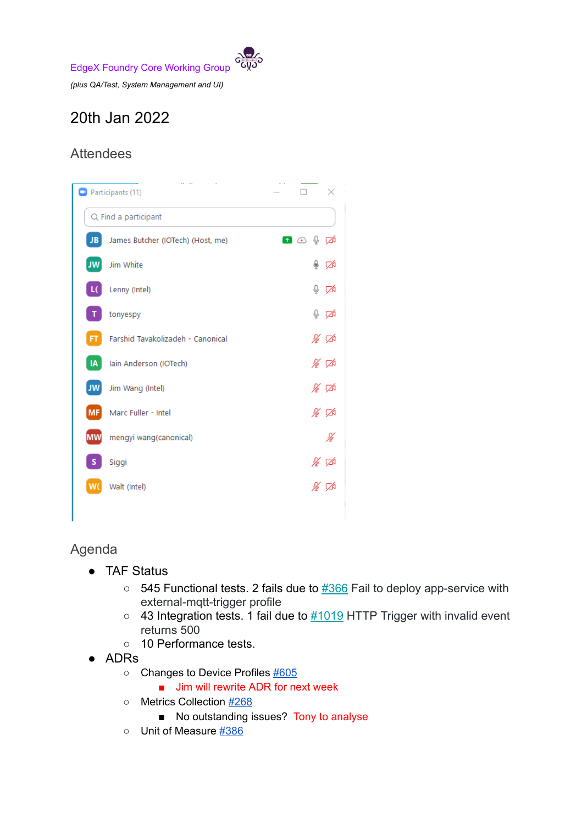EdgeX Foundry Core Working Group

*(plus QA/Test, System Management and UI)*

## 20th Jan 2022

## Attendees



Agenda

- TAF Status
	- $\circ$  545 Functional tests. 2 fails due to  $\frac{\#366}{ }$  $\frac{\#366}{ }$  $\frac{\#366}{ }$  Fail to deploy app-service with external-mqtt-trigger profile
	- $\circ$  43 Integration tests. 1 fail due to  $\frac{\#1019}{\#1017}$  $\frac{\#1019}{\#1017}$  $\frac{\#1019}{\#1017}$  Trigger with invalid event returns 500
	- 10 Performance tests.
- ADRs
	- Changes to Device Profiles [#605](https://github.com/edgexfoundry/edgex-docs/pull/605)
		- Jim will rewrite ADR for next week
	- Metrics Collection [#268](https://github.com/edgexfoundry/edgex-docs/pull/268)
		- No outstanding issues? Tony to analyse
	- Unit of Measure [#386](https://github.com/edgexfoundry/edgex-docs/pull/386)